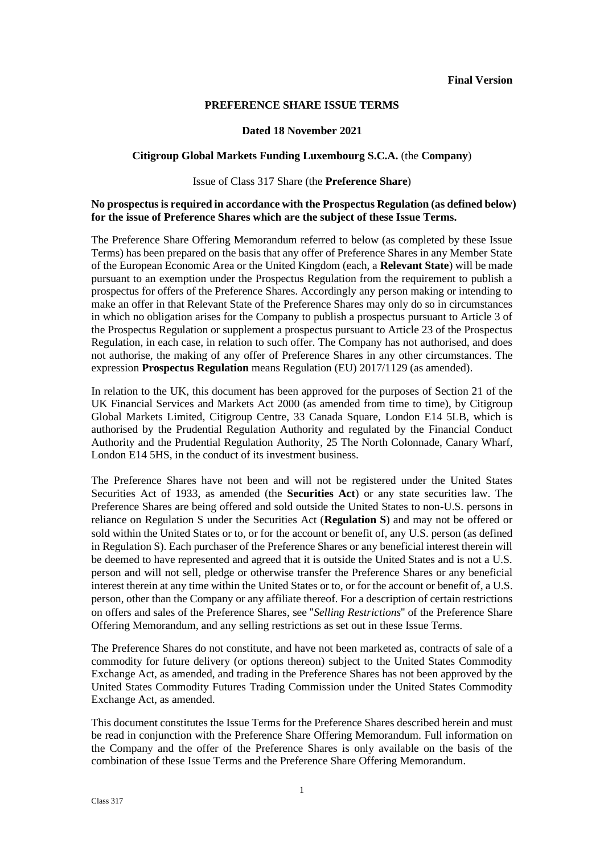#### **PREFERENCE SHARE ISSUE TERMS**

#### **Dated 18 November 2021**

#### **Citigroup Global Markets Funding Luxembourg S.C.A.** (the **Company**)

#### Issue of Class 317 Share (the **Preference Share**)

### **No prospectus is required in accordance with the Prospectus Regulation (as defined below) for the issue of Preference Shares which are the subject of these Issue Terms.**

The Preference Share Offering Memorandum referred to below (as completed by these Issue Terms) has been prepared on the basis that any offer of Preference Shares in any Member State of the European Economic Area or the United Kingdom (each, a **Relevant State**) will be made pursuant to an exemption under the Prospectus Regulation from the requirement to publish a prospectus for offers of the Preference Shares. Accordingly any person making or intending to make an offer in that Relevant State of the Preference Shares may only do so in circumstances in which no obligation arises for the Company to publish a prospectus pursuant to Article 3 of the Prospectus Regulation or supplement a prospectus pursuant to Article 23 of the Prospectus Regulation, in each case, in relation to such offer. The Company has not authorised, and does not authorise, the making of any offer of Preference Shares in any other circumstances. The expression **Prospectus Regulation** means Regulation (EU) 2017/1129 (as amended).

In relation to the UK, this document has been approved for the purposes of Section 21 of the UK Financial Services and Markets Act 2000 (as amended from time to time), by Citigroup Global Markets Limited, Citigroup Centre, 33 Canada Square, London E14 5LB, which is authorised by the Prudential Regulation Authority and regulated by the Financial Conduct Authority and the Prudential Regulation Authority, 25 The North Colonnade, Canary Wharf, London E14 5HS, in the conduct of its investment business.

The Preference Shares have not been and will not be registered under the United States Securities Act of 1933, as amended (the **Securities Act**) or any state securities law. The Preference Shares are being offered and sold outside the United States to non-U.S. persons in reliance on Regulation S under the Securities Act (**Regulation S**) and may not be offered or sold within the United States or to, or for the account or benefit of, any U.S. person (as defined in Regulation S). Each purchaser of the Preference Shares or any beneficial interest therein will be deemed to have represented and agreed that it is outside the United States and is not a U.S. person and will not sell, pledge or otherwise transfer the Preference Shares or any beneficial interest therein at any time within the United States or to, or for the account or benefit of, a U.S. person, other than the Company or any affiliate thereof. For a description of certain restrictions on offers and sales of the Preference Shares, see "*Selling Restrictions*" of the Preference Share Offering Memorandum, and any selling restrictions as set out in these Issue Terms.

The Preference Shares do not constitute, and have not been marketed as, contracts of sale of a commodity for future delivery (or options thereon) subject to the United States Commodity Exchange Act, as amended, and trading in the Preference Shares has not been approved by the United States Commodity Futures Trading Commission under the United States Commodity Exchange Act, as amended.

This document constitutes the Issue Terms for the Preference Shares described herein and must be read in conjunction with the Preference Share Offering Memorandum. Full information on the Company and the offer of the Preference Shares is only available on the basis of the combination of these Issue Terms and the Preference Share Offering Memorandum.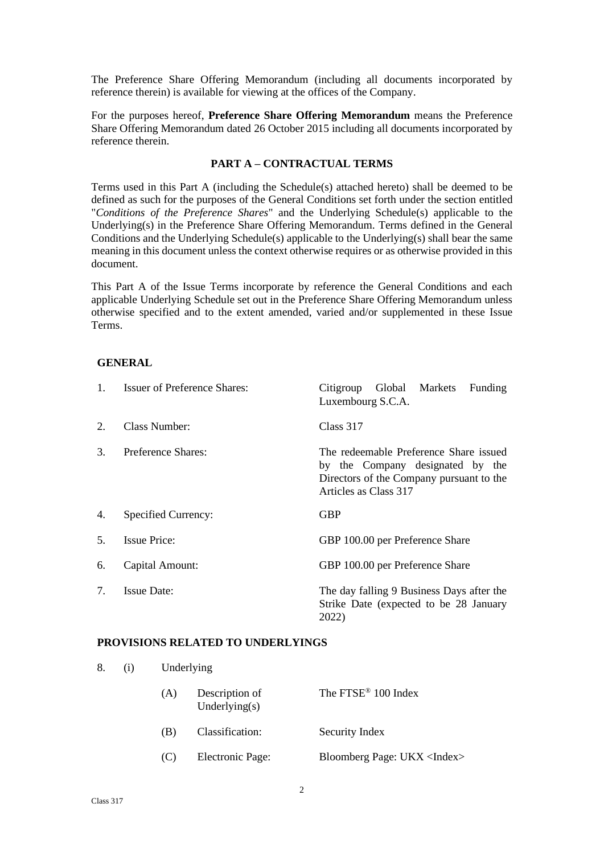The Preference Share Offering Memorandum (including all documents incorporated by reference therein) is available for viewing at the offices of the Company.

For the purposes hereof, **Preference Share Offering Memorandum** means the Preference Share Offering Memorandum dated 26 October 2015 including all documents incorporated by reference therein.

### **PART A – CONTRACTUAL TERMS**

Terms used in this Part A (including the Schedule(s) attached hereto) shall be deemed to be defined as such for the purposes of the General Conditions set forth under the section entitled "*Conditions of the Preference Shares*" and the Underlying Schedule(s) applicable to the Underlying(s) in the Preference Share Offering Memorandum. Terms defined in the General Conditions and the Underlying Schedule(s) applicable to the Underlying(s) shall bear the same meaning in this document unless the context otherwise requires or as otherwise provided in this document.

This Part A of the Issue Terms incorporate by reference the General Conditions and each applicable Underlying Schedule set out in the Preference Share Offering Memorandum unless otherwise specified and to the extent amended, varied and/or supplemented in these Issue Terms.

#### **GENERAL**

| $1_{\cdot}$ | <b>Issuer of Preference Shares:</b> | Global Markets<br>Citigroup<br>Funding<br>Luxembourg S.C.A.                                                                                     |
|-------------|-------------------------------------|-------------------------------------------------------------------------------------------------------------------------------------------------|
| 2.          | Class Number:                       | Class 317                                                                                                                                       |
| 3.          | Preference Shares:                  | The redeemable Preference Share issued<br>by the Company designated by the<br>Directors of the Company pursuant to the<br>Articles as Class 317 |
| 4.          | Specified Currency:                 | <b>GBP</b>                                                                                                                                      |
| 5.          | <b>Issue Price:</b>                 | GBP 100.00 per Preference Share                                                                                                                 |
| 6.          | Capital Amount:                     | GBP 100.00 per Preference Share                                                                                                                 |
| 7.          | <b>Issue Date:</b>                  | The day falling 9 Business Days after the<br>Strike Date (expected to be 28 January<br>2022)                                                    |

#### **PROVISIONS RELATED TO UNDERLYINGS**

8. (i) Underlying

| (A) | Description of<br>Underlying $(s)$ | The FTSE <sup>®</sup> 100 Index     |
|-----|------------------------------------|-------------------------------------|
| (B) | Classification:                    | Security Index                      |
| (C) | Electronic Page:                   | Bloomberg Page: UKX <index></index> |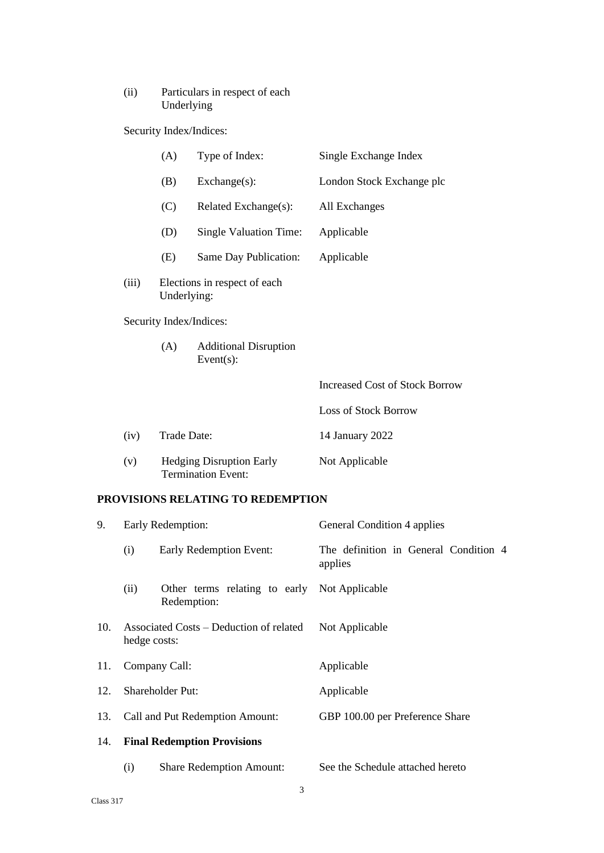# (ii) Particulars in respect of each Underlying

Security Index/Indices:

|                         |       | (A)                                                          | Type of Index:         | Single Exchange Index                 |
|-------------------------|-------|--------------------------------------------------------------|------------------------|---------------------------------------|
|                         |       | (B)                                                          | $Exchange(s)$ :        | London Stock Exchange plc             |
|                         |       | (C)                                                          | Related Exchange(s):   | All Exchanges                         |
|                         |       | (D)                                                          | Single Valuation Time: | Applicable                            |
|                         |       | (E)                                                          | Same Day Publication:  | Applicable                            |
|                         | (iii) | Elections in respect of each<br>Underlying:                  |                        |                                       |
| Security Index/Indices: |       |                                                              |                        |                                       |
|                         |       | (A)<br><b>Additional Disruption</b><br>Event $(s)$ :         |                        |                                       |
|                         |       |                                                              |                        | <b>Increased Cost of Stock Borrow</b> |
|                         |       |                                                              |                        | Loss of Stock Borrow                  |
|                         | (iv)  | Trade Date:                                                  |                        | 14 January 2022                       |
|                         | (v)   | <b>Hedging Disruption Early</b><br><b>Termination Event:</b> |                        | Not Applicable                        |
|                         |       |                                                              |                        |                                       |

# **PROVISIONS RELATING TO REDEMPTION**

| 9.  | Early Redemption:                                       |                                                             | General Condition 4 applies                      |  |
|-----|---------------------------------------------------------|-------------------------------------------------------------|--------------------------------------------------|--|
|     | (i)                                                     | Early Redemption Event:                                     | The definition in General Condition 4<br>applies |  |
|     | (ii)                                                    | Other terms relating to early Not Applicable<br>Redemption: |                                                  |  |
| 10. | Associated Costs – Deduction of related<br>hedge costs: |                                                             | Not Applicable                                   |  |
| 11. | Company Call:                                           |                                                             | Applicable                                       |  |
| 12. | <b>Shareholder Put:</b>                                 |                                                             | Applicable                                       |  |
| 13. | Call and Put Redemption Amount:                         |                                                             | GBP 100.00 per Preference Share                  |  |
| 14. | <b>Final Redemption Provisions</b>                      |                                                             |                                                  |  |
|     | (i)                                                     | <b>Share Redemption Amount:</b>                             | See the Schedule attached hereto                 |  |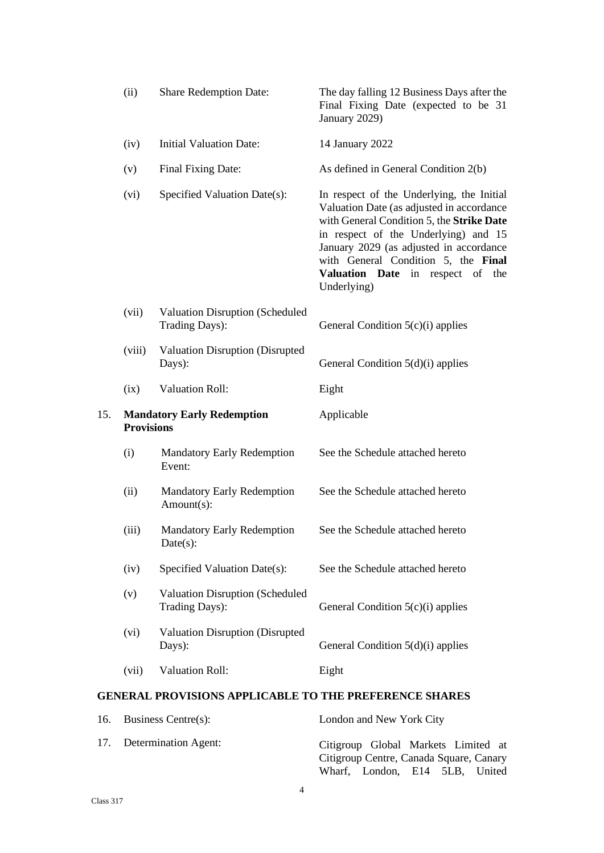|     | (ii)              | <b>Share Redemption Date:</b>                                 | The day falling 12 Business Days after the<br>Final Fixing Date (expected to be 31<br>January 2029)                                                                                                                                                                                                                 |
|-----|-------------------|---------------------------------------------------------------|---------------------------------------------------------------------------------------------------------------------------------------------------------------------------------------------------------------------------------------------------------------------------------------------------------------------|
|     | (iv)              | <b>Initial Valuation Date:</b>                                | 14 January 2022                                                                                                                                                                                                                                                                                                     |
|     | (v)               | Final Fixing Date:                                            | As defined in General Condition 2(b)                                                                                                                                                                                                                                                                                |
|     | (vi)              | Specified Valuation Date(s):                                  | In respect of the Underlying, the Initial<br>Valuation Date (as adjusted in accordance<br>with General Condition 5, the Strike Date<br>in respect of the Underlying) and 15<br>January 2029 (as adjusted in accordance<br>with General Condition 5, the Final<br>Valuation Date in respect of<br>the<br>Underlying) |
|     | (vii)             | <b>Valuation Disruption (Scheduled</b><br>Trading Days):      | General Condition 5(c)(i) applies                                                                                                                                                                                                                                                                                   |
|     | (viii)            | Valuation Disruption (Disrupted<br>Days):                     | General Condition $5(d)(i)$ applies                                                                                                                                                                                                                                                                                 |
|     | (ix)              | <b>Valuation Roll:</b>                                        | Eight                                                                                                                                                                                                                                                                                                               |
| 15. | <b>Provisions</b> | <b>Mandatory Early Redemption</b>                             | Applicable                                                                                                                                                                                                                                                                                                          |
|     | (i)               | <b>Mandatory Early Redemption</b><br>Event:                   | See the Schedule attached hereto                                                                                                                                                                                                                                                                                    |
|     | (ii)              | <b>Mandatory Early Redemption</b><br>Amount(s):               | See the Schedule attached hereto                                                                                                                                                                                                                                                                                    |
|     | (iii)             | <b>Mandatory Early Redemption</b><br>$Date(s)$ :              | See the Schedule attached hereto                                                                                                                                                                                                                                                                                    |
|     | (iv)              | Specified Valuation Date(s):                                  | See the Schedule attached hereto                                                                                                                                                                                                                                                                                    |
|     | (v)               | <b>Valuation Disruption (Scheduled</b><br>Trading Days):      | General Condition $5(c)(i)$ applies                                                                                                                                                                                                                                                                                 |
|     | (vi)              | <b>Valuation Disruption (Disrupted</b><br>Days):              | General Condition $5(d)(i)$ applies                                                                                                                                                                                                                                                                                 |
|     | (vii)             | <b>Valuation Roll:</b>                                        | Eight                                                                                                                                                                                                                                                                                                               |
|     |                   | <b>GENERAL PROVISIONS APPLICABLE TO THE PREFERENCE SHARES</b> |                                                                                                                                                                                                                                                                                                                     |

| 16. Business Centre $(s)$ : | London and New York City                                                                                         |
|-----------------------------|------------------------------------------------------------------------------------------------------------------|
| 17. Determination Agent:    | Citigroup Global Markets Limited at<br>Citigroup Centre, Canada Square, Canary<br>Wharf, London, E14 5LB, United |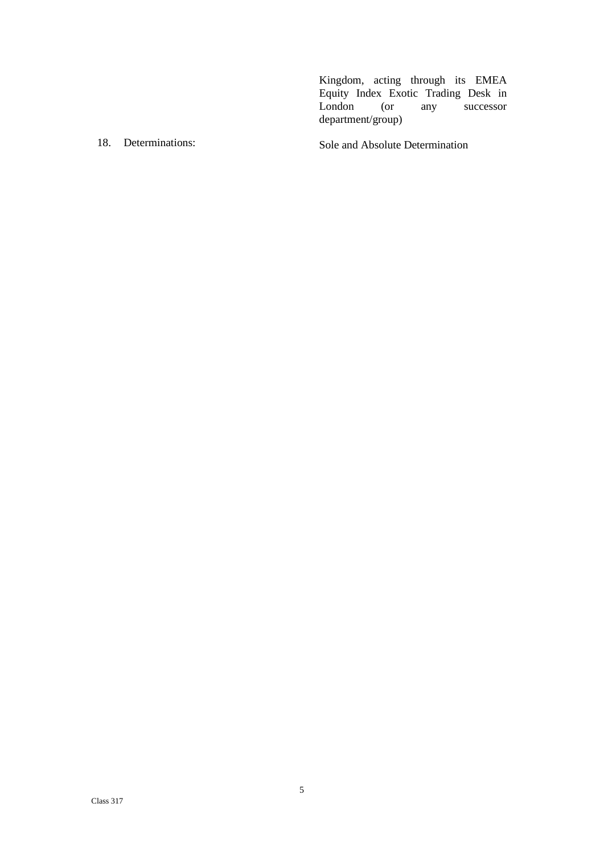Kingdom, acting through its EMEA Equity Index Exotic Trading Desk in London (or any successor department/group)

18. Determinations: Sole and Absolute Determination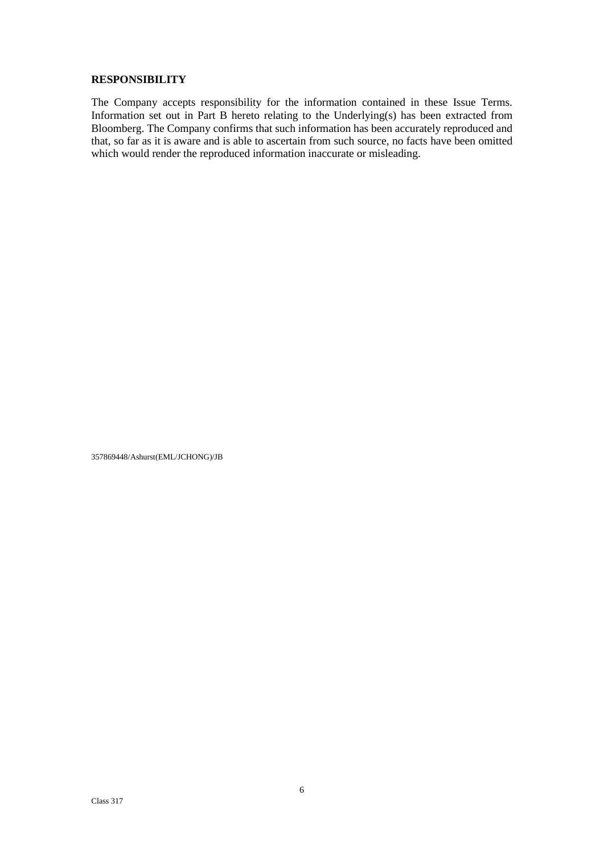#### **RESPONSIBILITY**

The Company accepts responsibility for the information contained in these Issue Terms. Information set out in Part B hereto relating to the Underlying(s) has been extracted from Bloomberg. The Company confirms that such information has been accurately reproduced and that, so far as it is aware and is able to ascertain from such source, no facts have been omitted which would render the reproduced information inaccurate or misleading.

357869448/Ashurst(EML/JCHONG)/JB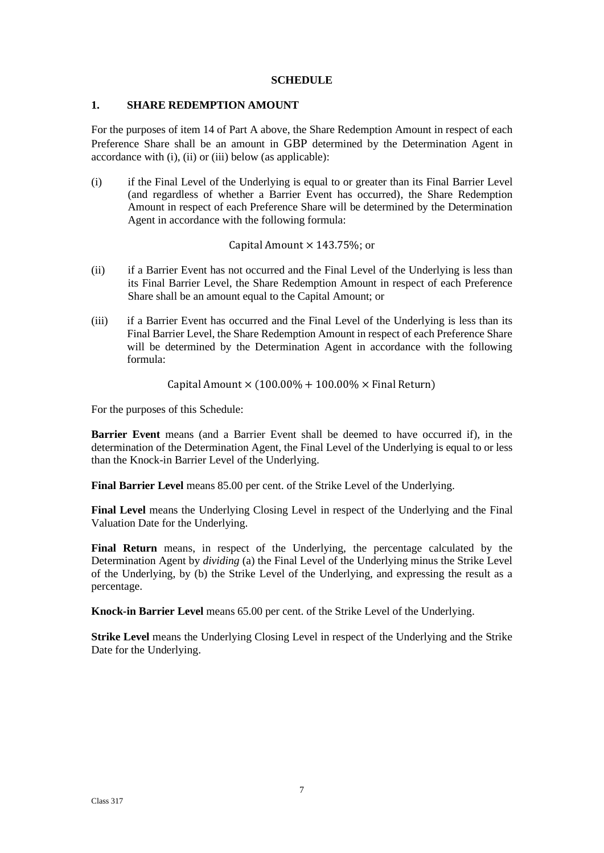#### **SCHEDULE**

#### **1. SHARE REDEMPTION AMOUNT**

For the purposes of item 14 of Part A above, the Share Redemption Amount in respect of each Preference Share shall be an amount in GBP determined by the Determination Agent in accordance with (i), (ii) or (iii) below (as applicable):

(i) if the Final Level of the Underlying is equal to or greater than its Final Barrier Level (and regardless of whether a Barrier Event has occurred), the Share Redemption Amount in respect of each Preference Share will be determined by the Determination Agent in accordance with the following formula:

#### Capital Amount  $\times$  143.75%; or

- (ii) if a Barrier Event has not occurred and the Final Level of the Underlying is less than its Final Barrier Level, the Share Redemption Amount in respect of each Preference Share shall be an amount equal to the Capital Amount; or
- (iii) if a Barrier Event has occurred and the Final Level of the Underlying is less than its Final Barrier Level, the Share Redemption Amount in respect of each Preference Share will be determined by the Determination Agent in accordance with the following formula:

Capital Amount  $\times$  (100.00% + 100.00%  $\times$  Final Return)

For the purposes of this Schedule:

**Barrier Event** means (and a Barrier Event shall be deemed to have occurred if), in the determination of the Determination Agent, the Final Level of the Underlying is equal to or less than the Knock-in Barrier Level of the Underlying.

**Final Barrier Level** means 85.00 per cent. of the Strike Level of the Underlying.

**Final Level** means the Underlying Closing Level in respect of the Underlying and the Final Valuation Date for the Underlying.

**Final Return** means, in respect of the Underlying, the percentage calculated by the Determination Agent by *dividing* (a) the Final Level of the Underlying minus the Strike Level of the Underlying, by (b) the Strike Level of the Underlying, and expressing the result as a percentage.

**Knock-in Barrier Level** means 65.00 per cent. of the Strike Level of the Underlying.

**Strike Level** means the Underlying Closing Level in respect of the Underlying and the Strike Date for the Underlying.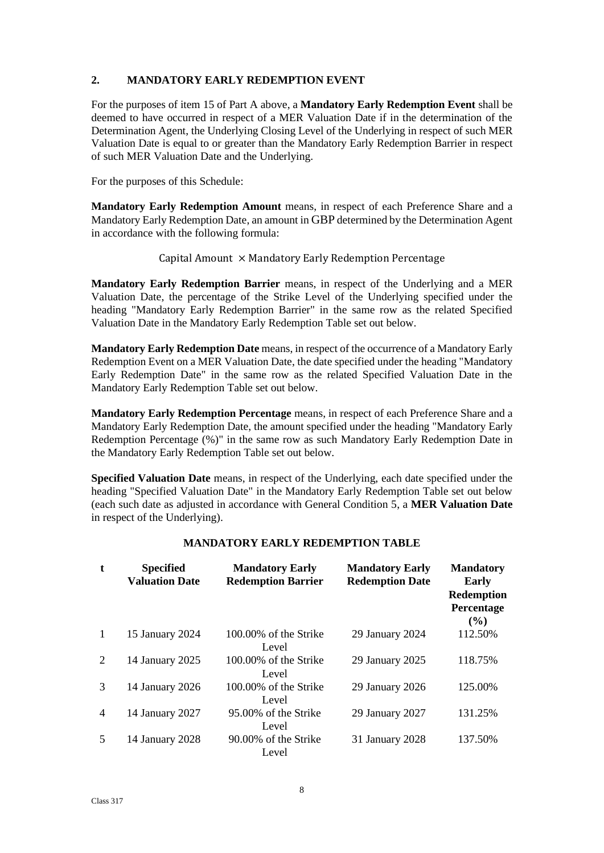### **2. MANDATORY EARLY REDEMPTION EVENT**

For the purposes of item 15 of Part A above, a **Mandatory Early Redemption Event** shall be deemed to have occurred in respect of a MER Valuation Date if in the determination of the Determination Agent, the Underlying Closing Level of the Underlying in respect of such MER Valuation Date is equal to or greater than the Mandatory Early Redemption Barrier in respect of such MER Valuation Date and the Underlying.

For the purposes of this Schedule:

**Mandatory Early Redemption Amount** means, in respect of each Preference Share and a Mandatory Early Redemption Date, an amount in GBP determined by the Determination Agent in accordance with the following formula:

### Capital Amount  $\times$  Mandatory Early Redemption Percentage

**Mandatory Early Redemption Barrier** means, in respect of the Underlying and a MER Valuation Date, the percentage of the Strike Level of the Underlying specified under the heading "Mandatory Early Redemption Barrier" in the same row as the related Specified Valuation Date in the Mandatory Early Redemption Table set out below.

**Mandatory Early Redemption Date** means, in respect of the occurrence of a Mandatory Early Redemption Event on a MER Valuation Date, the date specified under the heading "Mandatory Early Redemption Date" in the same row as the related Specified Valuation Date in the Mandatory Early Redemption Table set out below.

**Mandatory Early Redemption Percentage** means, in respect of each Preference Share and a Mandatory Early Redemption Date, the amount specified under the heading "Mandatory Early Redemption Percentage (%)" in the same row as such Mandatory Early Redemption Date in the Mandatory Early Redemption Table set out below.

**Specified Valuation Date** means, in respect of the Underlying, each date specified under the heading "Specified Valuation Date" in the Mandatory Early Redemption Table set out below (each such date as adjusted in accordance with General Condition 5, a **MER Valuation Date** in respect of the Underlying).

| $\mathbf{t}$ | <b>Specified</b><br><b>Valuation Date</b> | <b>Mandatory Early</b><br><b>Redemption Barrier</b> | <b>Mandatory Early</b><br><b>Redemption Date</b> | <b>Mandatory</b><br>Early<br><b>Redemption</b><br>Percentage<br>$($ %) |
|--------------|-------------------------------------------|-----------------------------------------------------|--------------------------------------------------|------------------------------------------------------------------------|
| $\mathbf{1}$ | 15 January 2024                           | 100,00% of the Strike<br>Level                      | 29 January 2024                                  | 112.50%                                                                |
| 2            | 14 January 2025                           | 100.00% of the Strike<br>Level                      | 29 January 2025                                  | 118.75%                                                                |
| 3            | 14 January 2026                           | $100.00\%$ of the Strike<br>Level                   | 29 January 2026                                  | 125.00%                                                                |
| 4            | 14 January 2027                           | 95,00% of the Strike<br>Level                       | 29 January 2027                                  | 131.25%                                                                |
| 5            | 14 January 2028                           | 90.00% of the Strike<br>Level                       | 31 January 2028                                  | 137.50%                                                                |

# **MANDATORY EARLY REDEMPTION TABLE**